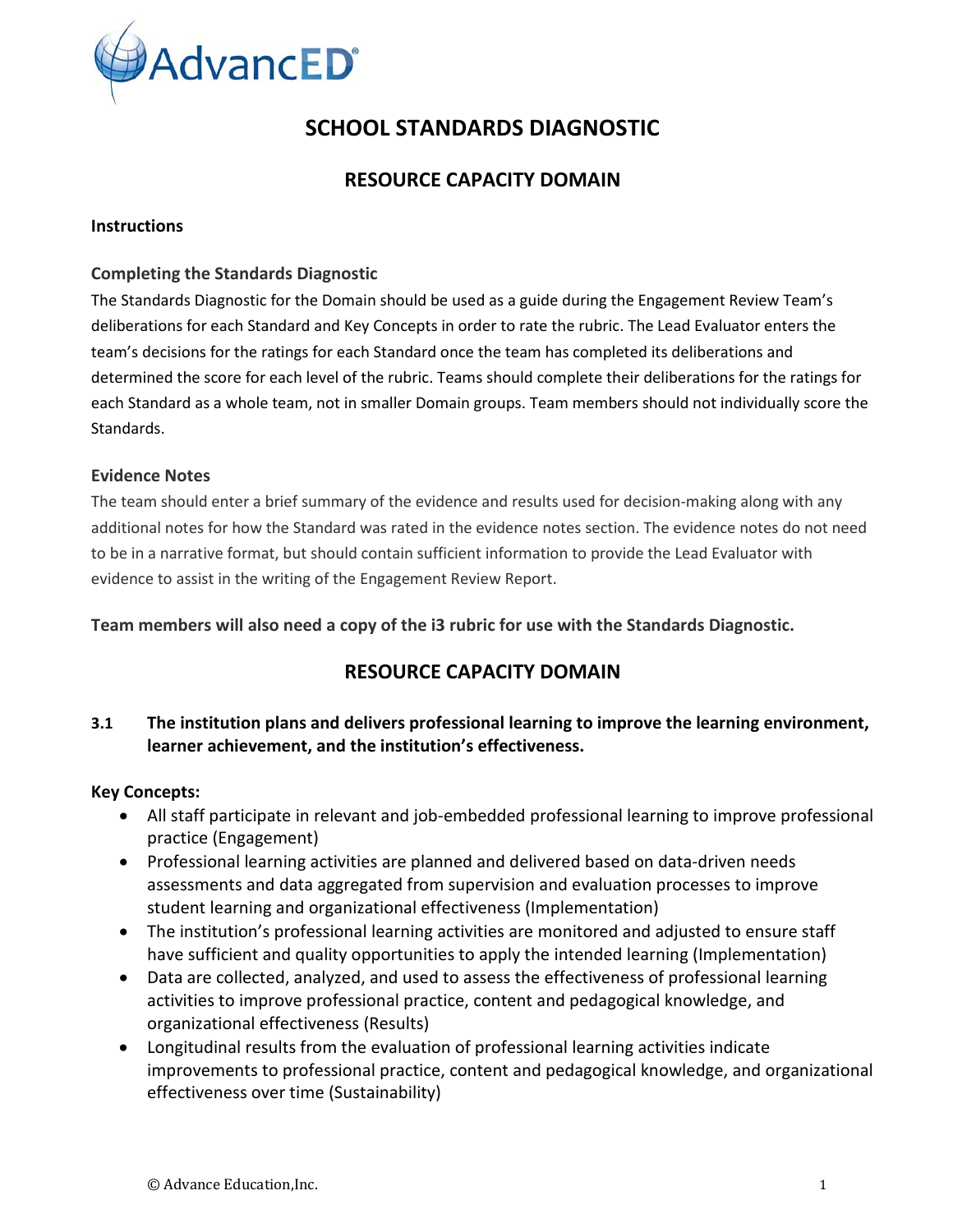

# **SCHOOL STANDARDS DIAGNOSTIC**

# **RESOURCE CAPACITY DOMAIN**

#### **Instructions**

#### **Completing the Standards Diagnostic**

The Standards Diagnostic for the Domain should be used as a guide during the Engagement Review Team's deliberations for each Standard and Key Concepts in order to rate the rubric. The Lead Evaluator enters the team's decisions for the ratings for each Standard once the team has completed its deliberations and determined the score for each level of the rubric. Teams should complete their deliberations for the ratings for each Standard as a whole team, not in smaller Domain groups. Team members should not individually score the Standards.

#### **Evidence Notes**

The team should enter a brief summary of the evidence and results used for decision-making along with any additional notes for how the Standard was rated in the evidence notes section. The evidence notes do not need to be in a narrative format, but should contain sufficient information to provide the Lead Evaluator with evidence to assist in the writing of the Engagement Review Report.

**Team members will also need a copy of the i3 rubric for use with the Standards Diagnostic.**

# **RESOURCE CAPACITY DOMAIN**

## **3.1 The institution plans and delivers professional learning to improve the learning environment, learner achievement, and the institution's effectiveness.**

#### **Key Concepts:**

- All staff participate in relevant and job-embedded professional learning to improve professional practice (Engagement)
- Professional learning activities are planned and delivered based on data-driven needs assessments and data aggregated from supervision and evaluation processes to improve student learning and organizational effectiveness (Implementation)
- The institution's professional learning activities are monitored and adjusted to ensure staff have sufficient and quality opportunities to apply the intended learning (Implementation)
- Data are collected, analyzed, and used to assess the effectiveness of professional learning activities to improve professional practice, content and pedagogical knowledge, and organizational effectiveness (Results)
- Longitudinal results from the evaluation of professional learning activities indicate improvements to professional practice, content and pedagogical knowledge, and organizational effectiveness over time (Sustainability)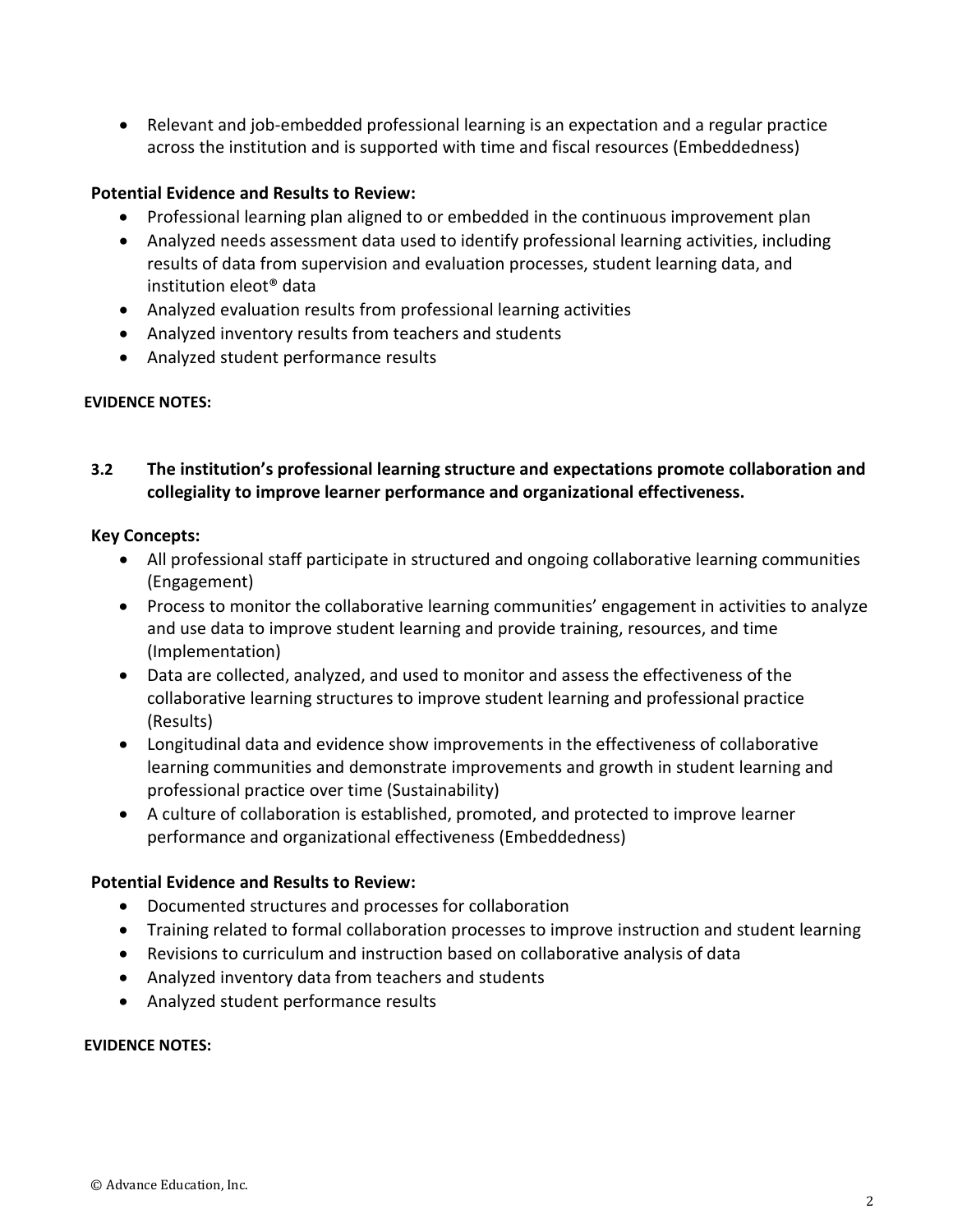• Relevant and job-embedded professional learning is an expectation and a regular practice across the institution and is supported with time and fiscal resources (Embeddedness)

## **Potential Evidence and Results to Review:**

- Professional learning plan aligned to or embedded in the continuous improvement plan
- Analyzed needs assessment data used to identify professional learning activities, including results of data from supervision and evaluation processes, student learning data, and institution eleot® data
- Analyzed evaluation results from professional learning activities
- Analyzed inventory results from teachers and students
- Analyzed student performance results

#### **EVIDENCE NOTES:**

## **3.2 The institution's professional learning structure and expectations promote collaboration and collegiality to improve learner performance and organizational effectiveness.**

#### **Key Concepts:**

- All professional staff participate in structured and ongoing collaborative learning communities (Engagement)
- Process to monitor the collaborative learning communities' engagement in activities to analyze and use data to improve student learning and provide training, resources, and time (Implementation)
- Data are collected, analyzed, and used to monitor and assess the effectiveness of the collaborative learning structures to improve student learning and professional practice (Results)
- Longitudinal data and evidence show improvements in the effectiveness of collaborative learning communities and demonstrate improvements and growth in student learning and professional practice over time (Sustainability)
- A culture of collaboration is established, promoted, and protected to improve learner performance and organizational effectiveness (Embeddedness)

#### **Potential Evidence and Results to Review:**

- Documented structures and processes for collaboration
- Training related to formal collaboration processes to improve instruction and student learning
- Revisions to curriculum and instruction based on collaborative analysis of data
- Analyzed inventory data from teachers and students
- Analyzed student performance results

#### **EVIDENCE NOTES:**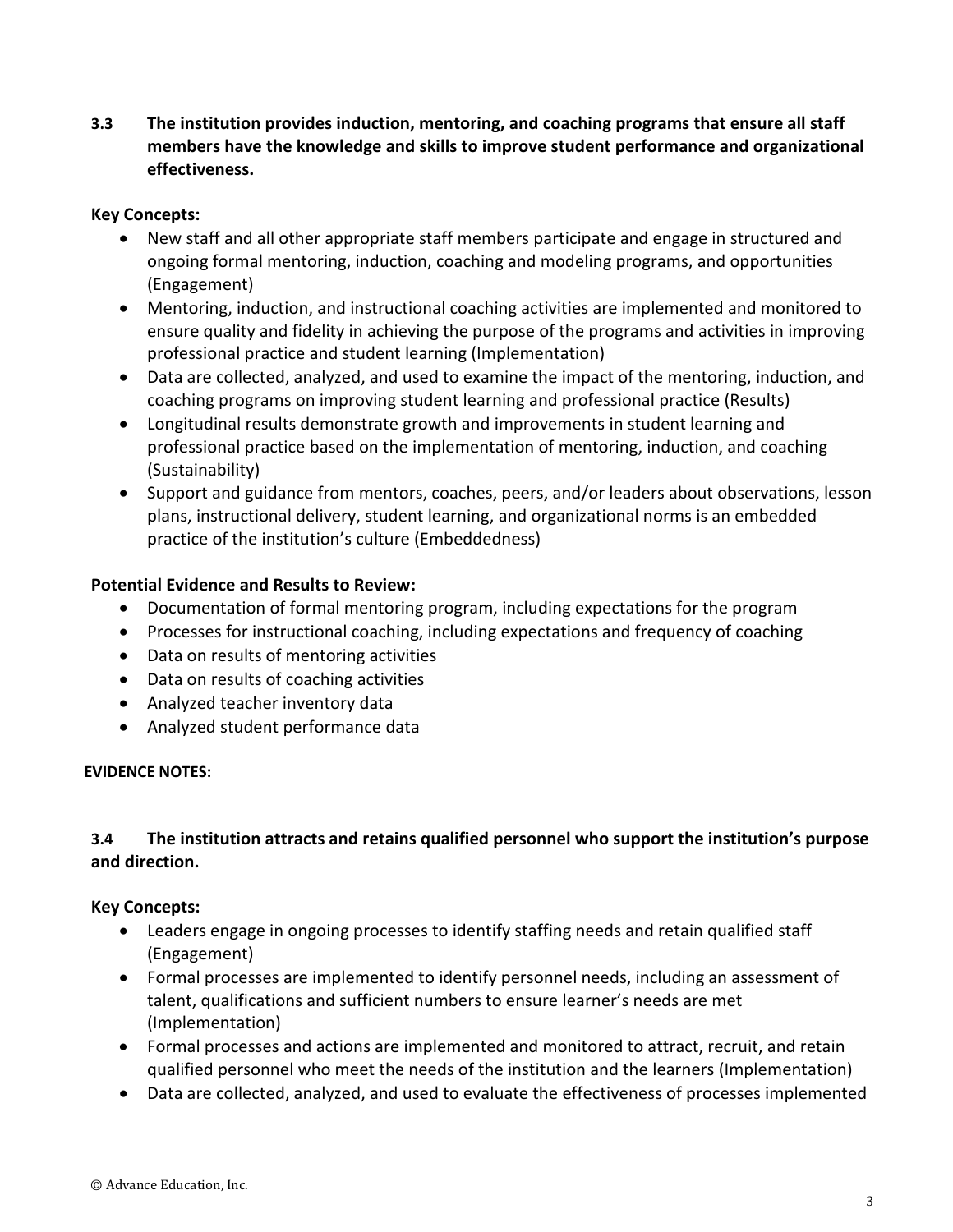**3.3 The institution provides induction, mentoring, and coaching programs that ensure all staff members have the knowledge and skills to improve student performance and organizational effectiveness.**

## **Key Concepts:**

- New staff and all other appropriate staff members participate and engage in structured and ongoing formal mentoring, induction, coaching and modeling programs, and opportunities (Engagement)
- Mentoring, induction, and instructional coaching activities are implemented and monitored to ensure quality and fidelity in achieving the purpose of the programs and activities in improving professional practice and student learning (Implementation)
- Data are collected, analyzed, and used to examine the impact of the mentoring, induction, and coaching programs on improving student learning and professional practice (Results)
- Longitudinal results demonstrate growth and improvements in student learning and professional practice based on the implementation of mentoring, induction, and coaching (Sustainability)
- Support and guidance from mentors, coaches, peers, and/or leaders about observations, lesson plans, instructional delivery, student learning, and organizational norms is an embedded practice of the institution's culture (Embeddedness)

### **Potential Evidence and Results to Review:**

- Documentation of formal mentoring program, including expectations for the program
- Processes for instructional coaching, including expectations and frequency of coaching
- Data on results of mentoring activities
- Data on results of coaching activities
- Analyzed teacher inventory data
- Analyzed student performance data

#### **EVIDENCE NOTES:**

# **3.4 The institution attracts and retains qualified personnel who support the institution's purpose and direction.**

## **Key Concepts:**

- Leaders engage in ongoing processes to identify staffing needs and retain qualified staff (Engagement)
- Formal processes are implemented to identify personnel needs, including an assessment of talent, qualifications and sufficient numbers to ensure learner's needs are met (Implementation)
- Formal processes and actions are implemented and monitored to attract, recruit, and retain qualified personnel who meet the needs of the institution and the learners (Implementation)
- Data are collected, analyzed, and used to evaluate the effectiveness of processes implemented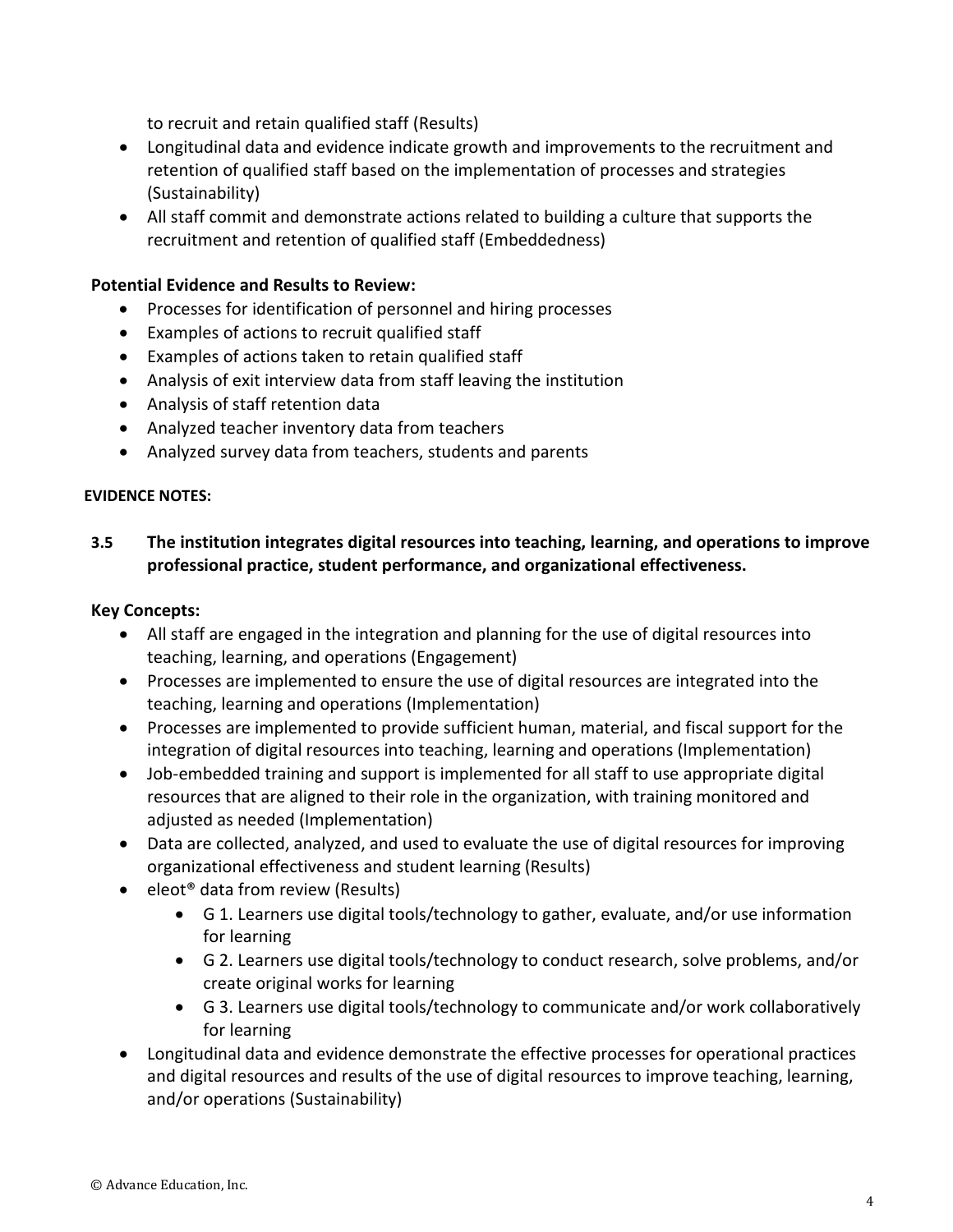to recruit and retain qualified staff (Results)

- Longitudinal data and evidence indicate growth and improvements to the recruitment and retention of qualified staff based on the implementation of processes and strategies (Sustainability)
- All staff commit and demonstrate actions related to building a culture that supports the recruitment and retention of qualified staff (Embeddedness)

### **Potential Evidence and Results to Review:**

- Processes for identification of personnel and hiring processes
- Examples of actions to recruit qualified staff
- Examples of actions taken to retain qualified staff
- Analysis of exit interview data from staff leaving the institution
- Analysis of staff retention data
- Analyzed teacher inventory data from teachers
- Analyzed survey data from teachers, students and parents

#### **EVIDENCE NOTES:**

## **3.5 The institution integrates digital resources into teaching, learning, and operations to improve professional practice, student performance, and organizational effectiveness.**

#### **Key Concepts:**

- All staff are engaged in the integration and planning for the use of digital resources into teaching, learning, and operations (Engagement)
- Processes are implemented to ensure the use of digital resources are integrated into the teaching, learning and operations (Implementation)
- Processes are implemented to provide sufficient human, material, and fiscal support for the integration of digital resources into teaching, learning and operations (Implementation)
- Job-embedded training and support is implemented for all staff to use appropriate digital resources that are aligned to their role in the organization, with training monitored and adjusted as needed (Implementation)
- Data are collected, analyzed, and used to evaluate the use of digital resources for improving organizational effectiveness and student learning (Results)
- eleot<sup>®</sup> data from review (Results)
	- G 1. Learners use digital tools/technology to gather, evaluate, and/or use information for learning
	- G 2. Learners use digital tools/technology to conduct research, solve problems, and/or create original works for learning
	- G 3. Learners use digital tools/technology to communicate and/or work collaboratively for learning
- Longitudinal data and evidence demonstrate the effective processes for operational practices and digital resources and results of the use of digital resources to improve teaching, learning, and/or operations (Sustainability)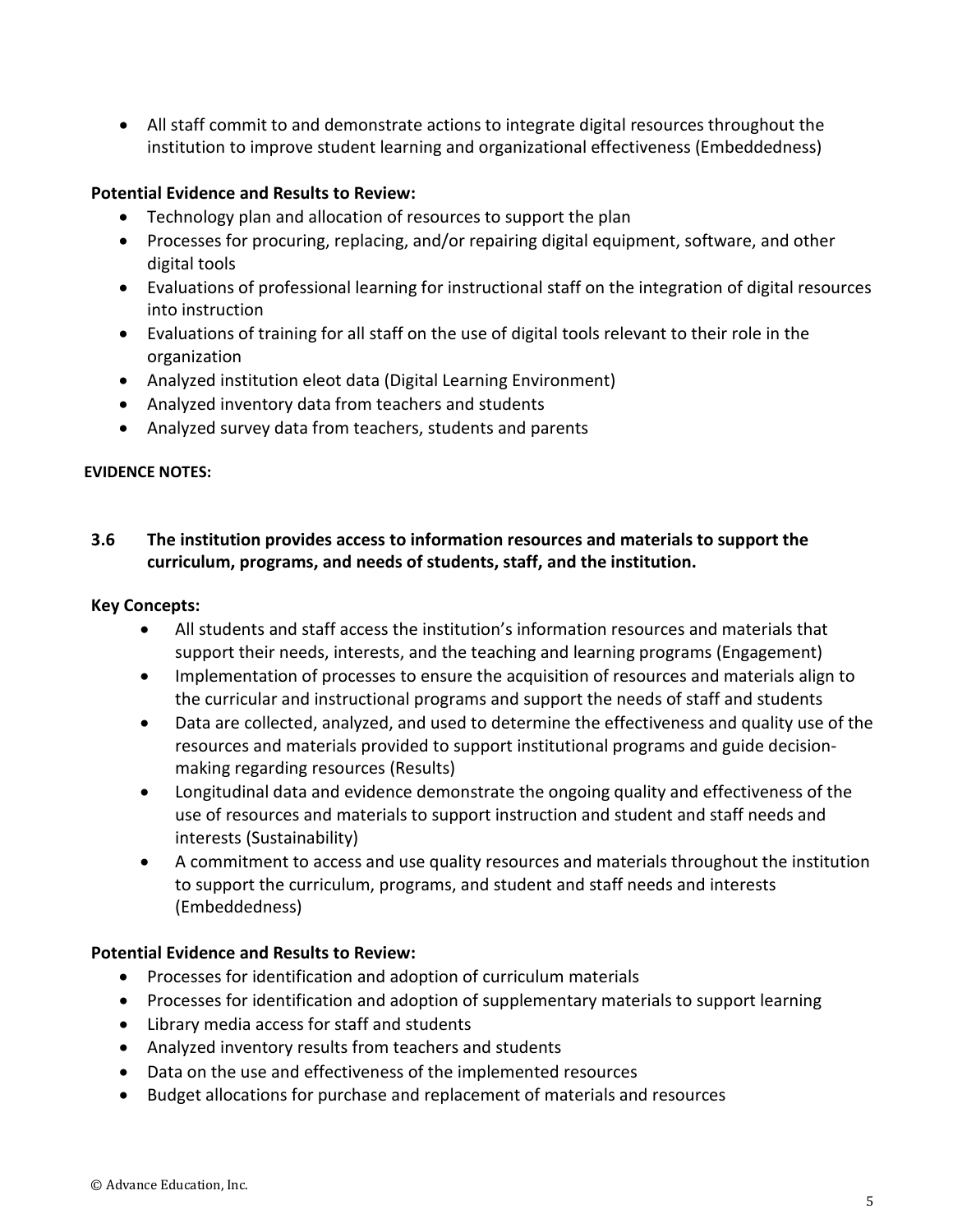• All staff commit to and demonstrate actions to integrate digital resources throughout the institution to improve student learning and organizational effectiveness (Embeddedness)

## **Potential Evidence and Results to Review:**

- Technology plan and allocation of resources to support the plan
- Processes for procuring, replacing, and/or repairing digital equipment, software, and other digital tools
- Evaluations of professional learning for instructional staff on the integration of digital resources into instruction
- Evaluations of training for all staff on the use of digital tools relevant to their role in the organization
- Analyzed institution eleot data (Digital Learning Environment)
- Analyzed inventory data from teachers and students
- Analyzed survey data from teachers, students and parents

#### **EVIDENCE NOTES:**

# **3.6 The institution provides access to information resources and materials to support the curriculum, programs, and needs of students, staff, and the institution.**

### **Key Concepts:**

- All students and staff access the institution's information resources and materials that support their needs, interests, and the teaching and learning programs (Engagement)
- Implementation of processes to ensure the acquisition of resources and materials align to the curricular and instructional programs and support the needs of staff and students
- Data are collected, analyzed, and used to determine the effectiveness and quality use of the resources and materials provided to support institutional programs and guide decisionmaking regarding resources (Results)
- Longitudinal data and evidence demonstrate the ongoing quality and effectiveness of the use of resources and materials to support instruction and student and staff needs and interests (Sustainability)
- A commitment to access and use quality resources and materials throughout the institution to support the curriculum, programs, and student and staff needs and interests (Embeddedness)

#### **Potential Evidence and Results to Review:**

- Processes for identification and adoption of curriculum materials
- Processes for identification and adoption of supplementary materials to support learning
- Library media access for staff and students
- Analyzed inventory results from teachers and students
- Data on the use and effectiveness of the implemented resources
- Budget allocations for purchase and replacement of materials and resources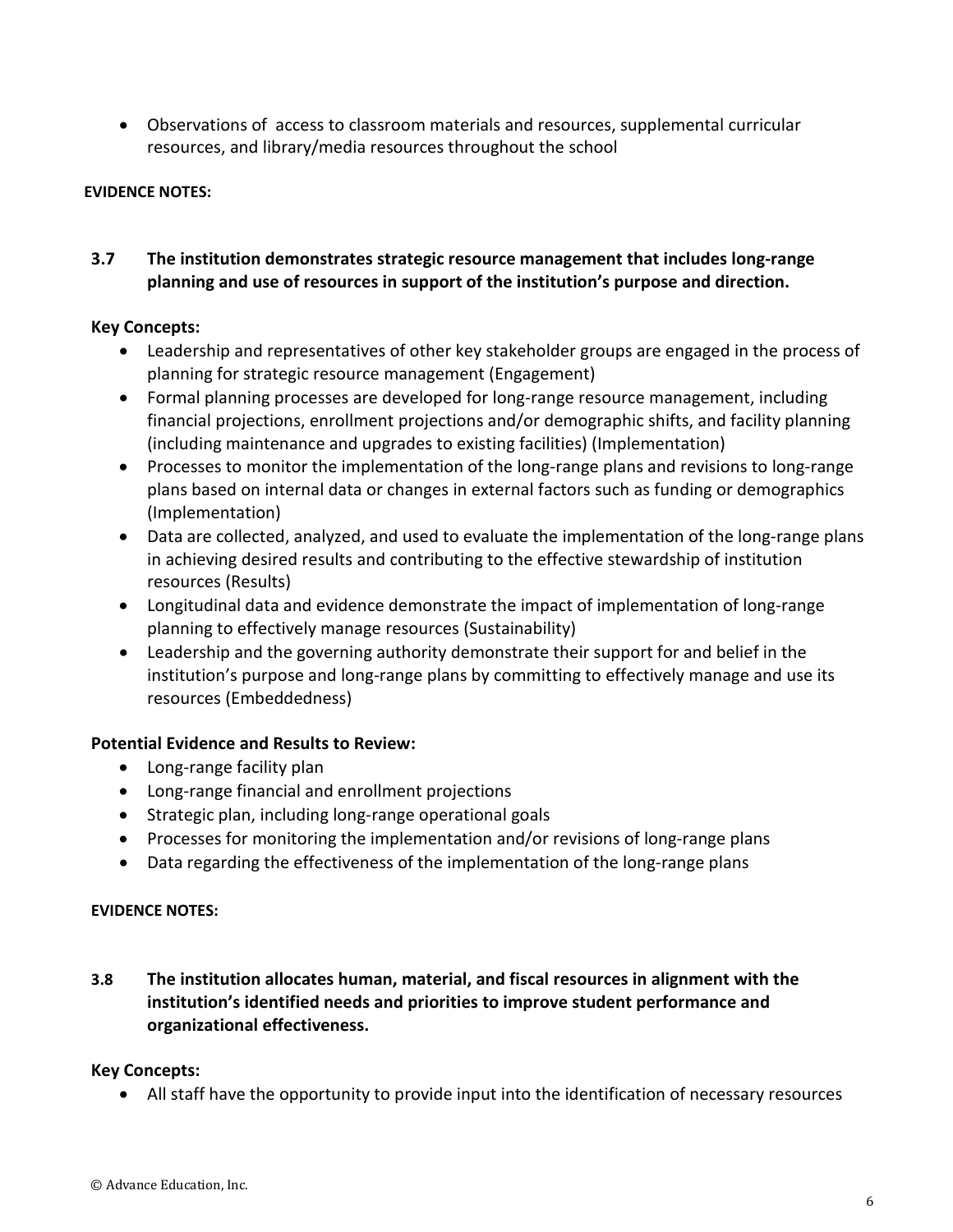• Observations of access to classroom materials and resources, supplemental curricular resources, and library/media resources throughout the school

### **EVIDENCE NOTES:**

# **3.7 The institution demonstrates strategic resource management that includes long-range planning and use of resources in support of the institution's purpose and direction.**

#### **Key Concepts:**

- Leadership and representatives of other key stakeholder groups are engaged in the process of planning for strategic resource management (Engagement)
- Formal planning processes are developed for long-range resource management, including financial projections, enrollment projections and/or demographic shifts, and facility planning (including maintenance and upgrades to existing facilities) (Implementation)
- Processes to monitor the implementation of the long-range plans and revisions to long-range plans based on internal data or changes in external factors such as funding or demographics (Implementation)
- Data are collected, analyzed, and used to evaluate the implementation of the long-range plans in achieving desired results and contributing to the effective stewardship of institution resources (Results)
- Longitudinal data and evidence demonstrate the impact of implementation of long-range planning to effectively manage resources (Sustainability)
- Leadership and the governing authority demonstrate their support for and belief in the institution's purpose and long-range plans by committing to effectively manage and use its resources (Embeddedness)

#### **Potential Evidence and Results to Review:**

- Long-range facility plan
- Long-range financial and enrollment projections
- Strategic plan, including long-range operational goals
- Processes for monitoring the implementation and/or revisions of long-range plans
- Data regarding the effectiveness of the implementation of the long-range plans

#### **EVIDENCE NOTES:**

**3.8 The institution allocates human, material, and fiscal resources in alignment with the institution's identified needs and priorities to improve student performance and organizational effectiveness.** 

#### **Key Concepts:**

• All staff have the opportunity to provide input into the identification of necessary resources